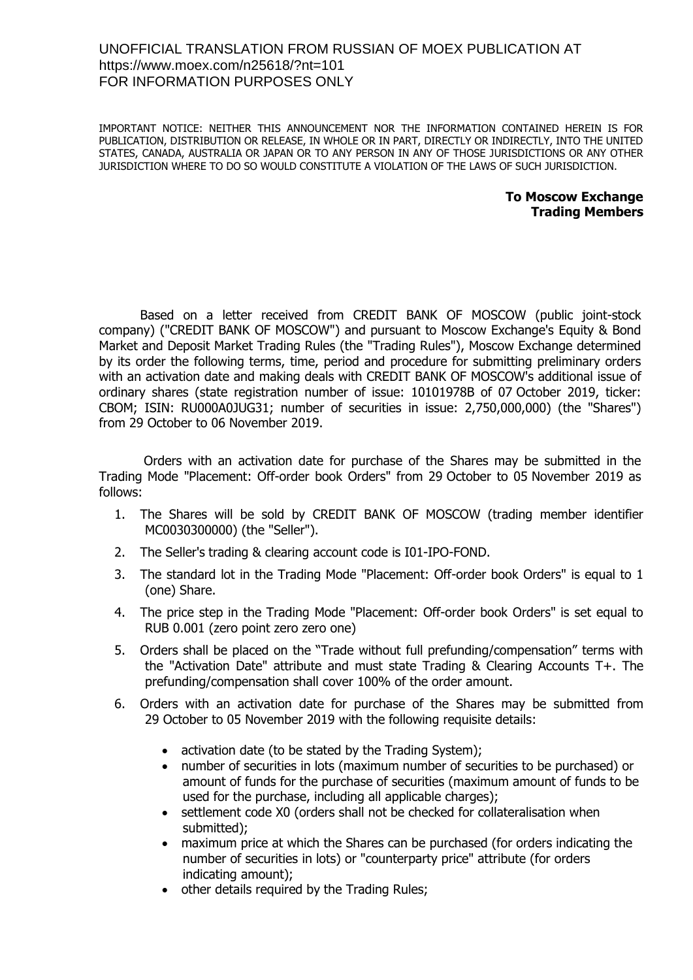## UNOFFICIAL TRANSLATION FROM RUSSIAN OF MOEX PUBLICATION AT <https://www.moex.com/n25618/?nt=101> FOR INFORMATION PURPOSES ONLY

IMPORTANT NOTICE: NEITHER THIS ANNOUNCEMENT NOR THE INFORMATION CONTAINED HEREIN IS FOR PUBLICATION, DISTRIBUTION OR RELEASE, IN WHOLE OR IN PART, DIRECTLY OR INDIRECTLY, INTO THE UNITED STATES, CANADA, AUSTRALIA OR JAPAN OR TO ANY PERSON IN ANY OF THOSE JURISDICTIONS OR ANY OTHER JURISDICTION WHERE TO DO SO WOULD CONSTITUTE A VIOLATION OF THE LAWS OF SUCH JURISDICTION.

## **To Moscow Exchange Trading Members**

Based on a letter received from CREDIT BANK OF MOSCOW (public joint-stock company) ("CREDIT BANK OF MOSCOW") and pursuant to Moscow Exchange's Equity & Bond Market and Deposit Market Trading Rules (the "Trading Rules"), Moscow Exchange determined by its order the following terms, time, period and procedure for submitting preliminary orders with an activation date and making deals with CREDIT BANK OF MOSCOW's additional issue of ordinary shares (state registration number of issue: 10101978B of 07 October 2019, ticker: CBOM; ISIN: RU000A0JUG31; number of securities in issue: 2,750,000,000) (the "Shares") from 29 October to 06 November 2019.

Orders with an activation date for purchase of the Shares may be submitted in the Trading Mode "Placement: Off-order book Orders" from 29 October to 05 November 2019 as follows:

- 1. The Shares will be sold by CREDIT BANK OF MOSCOW (trading member identifier MC0030300000) (the "Seller").
- 2. The Seller's trading & clearing account code is I01-IPO-FOND.
- 3. The standard lot in the Trading Mode "Placement: Off-order book Orders" is equal to 1 (one) Share.
- 4. The price step in the Trading Mode "Placement: Off-order book Orders" is set equal to RUB 0.001 (zero point zero zero one)
- 5. Orders shall be placed on the "Trade without full prefunding/compensation" terms with the "Activation Date" attribute and must state Trading & Clearing Accounts Т+. The prefunding/compensation shall cover 100% of the order amount.
- 6. Orders with an activation date for purchase of the Shares may be submitted from 29 October to 05 November 2019 with the following requisite details:
	- activation date (to be stated by the Trading System);
	- number of securities in lots (maximum number of securities to be purchased) or amount of funds for the purchase of securities (maximum amount of funds to be used for the purchase, including all applicable charges);
	- settlement code X0 (orders shall not be checked for collateralisation when submitted);
	- maximum price at which the Shares can be purchased (for orders indicating the number of securities in lots) or "counterparty price" attribute (for orders indicating amount);
	- other details required by the Trading Rules;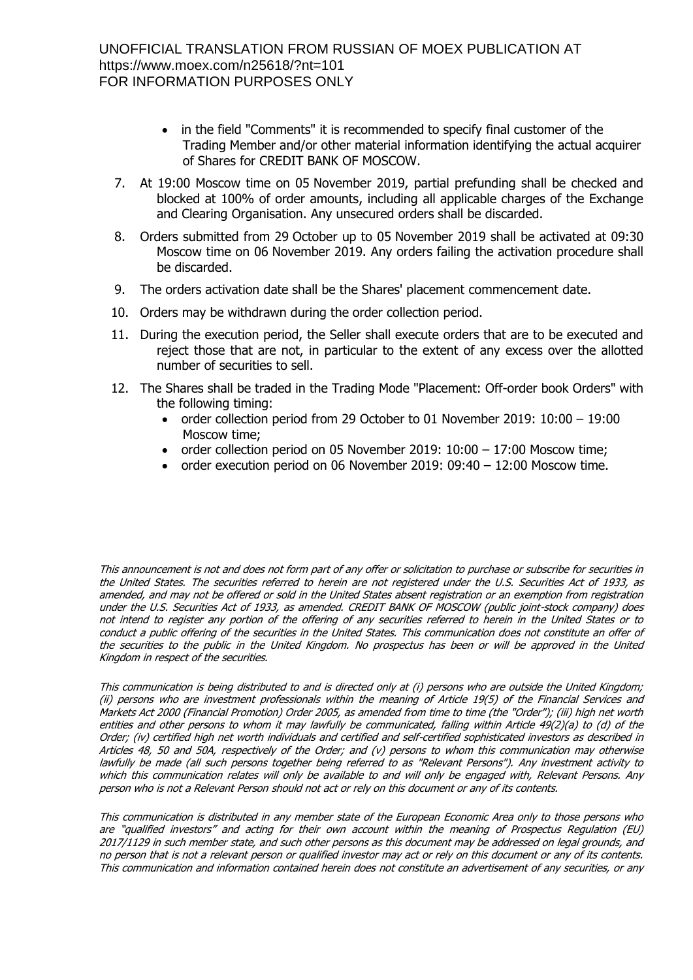- in the field "Comments" it is recommended to specify final customer of the Trading Member and/or other material information identifying the actual acquirer of Shares for CREDIT BANK OF MOSCOW.
- 7. At 19:00 Moscow time on 05 November 2019, partial prefunding shall be checked and blocked at 100% of order amounts, including all applicable charges of the Exchange and Clearing Organisation. Any unsecured orders shall be discarded.
- 8. Orders submitted from 29 October up to 05 November 2019 shall be activated at 09:30 Moscow time on 06 November 2019. Any orders failing the activation procedure shall be discarded.
- 9. The orders activation date shall be the Shares' placement commencement date.
- 10. Orders may be withdrawn during the order collection period.
- 11. During the execution period, the Seller shall execute orders that are to be executed and reject those that are not, in particular to the extent of any excess over the allotted number of securities to sell.
- 12. The Shares shall be traded in the Trading Mode "Placement: Off-order book Orders" with the following timing:
	- order collection period from 29 October to 01 November 2019: 10:00 19:00 Moscow time;
	- order collection period on 05 November 2019:  $10:00 17:00$  Moscow time;
	- order execution period on 06 November 2019:  $09:40 12:00$  Moscow time.

This announcement is not and does not form part of any offer or solicitation to purchase or subscribe for securities in the United States. The securities referred to herein are not registered under the U.S. Securities Act of 1933, as amended, and may not be offered or sold in the United States absent registration or an exemption from registration under the U.S. Securities Act of 1933, as amended. CREDIT BANK OF MOSCOW (public joint-stock company) does not intend to register any portion of the offering of any securities referred to herein in the United States or to conduct a public offering of the securities in the United States. This communication does not constitute an offer of the securities to the public in the United Kingdom. No prospectus has been or will be approved in the United Kingdom in respect of the securities.

This communication is being distributed to and is directed only at (i) persons who are outside the United Kingdom; (ii) persons who are investment professionals within the meaning of Article 19(5) of the Financial Services and Markets Act 2000 (Financial Promotion) Order 2005, as amended from time to time (the "Order"); (iii) high net worth entities and other persons to whom it may lawfully be communicated, falling within Article 49(2)(a) to (d) of the Order; (iv) certified high net worth individuals and certified and self-certified sophisticated investors as described in Articles 48, 50 and 50A, respectively of the Order; and (v) persons to whom this communication may otherwise lawfully be made (all such persons together being referred to as "Relevant Persons"). Any investment activity to which this communication relates will only be available to and will only be engaged with, Relevant Persons. Any person who is not a Relevant Person should not act or rely on this document or any of its contents.

This communication is distributed in any member state of the European Economic Area only to those persons who are "qualified investors" and acting for their own account within the meaning of Prospectus Regulation (EU) 2017/1129 in such member state, and such other persons as this document may be addressed on legal grounds, and no person that is not a relevant person or qualified investor may act or rely on this document or any of its contents. This communication and information contained herein does not constitute an advertisement of any securities, or any